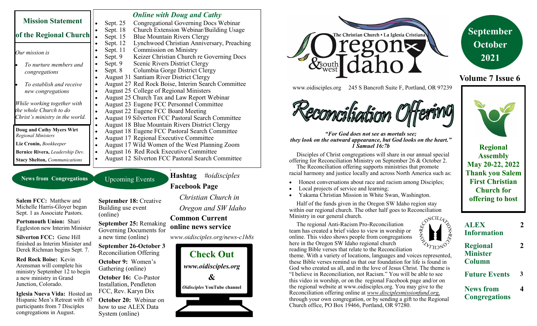|                                                        |   |          | <b>Online with Doug and Cathy</b>                        |
|--------------------------------------------------------|---|----------|----------------------------------------------------------|
| <b>Mission Statement</b>                               |   | Sept. 25 | Congregational Governing Docs Webinar                    |
|                                                        |   | Sept. 18 | Church Extension Webinar/Building Usage                  |
| of the Regional Church                                 |   | Sept. 15 | <b>Blue Mountain Rivers Clergy</b>                       |
|                                                        |   | Sept. 12 | Lynchwood Christian Anniversary, Preaching               |
| Our mission is                                         |   | Sept. 11 | <b>Commission on Ministry</b>                            |
|                                                        |   | Sept. 9  | Keizer Christian Church re Governing Docs                |
| To nurture members and                                 |   | Sept. 9  | Scenic Rivers District Clergy                            |
| congregations                                          |   | Sept. 8  | Columbia Gorge District Clergy                           |
|                                                        |   |          | <b>August 31 Santiam River District Clergy</b>           |
| To establish and receive                               |   |          | August 27 Red Rock Boise, Interim Search Committee       |
| new congregations                                      |   |          | August 25 College of Regional Ministers                  |
|                                                        |   |          | August 25 Church Tax and Law Report Webinar              |
| While working together with                            |   |          | August 23 Eugene FCC Personnel Committee                 |
| the whole Church to do                                 | ٠ |          | August 22 Eugene FCC Board Meeting                       |
| Christ's ministry in the world.                        |   |          | August 19 Silverton FCC Pastoral Search Committee        |
|                                                        |   |          | <b>August 18 Blue Mountain Rivers District Clergy</b>    |
| Doug and Cathy Myers Wirt<br><b>Regional Ministers</b> |   |          | August 18 Eugene FCC Pastoral Search Committee           |
|                                                        |   |          | August 17 Regional Executive Committee                   |
| Liz Cronin, Bookkeeper                                 | ٠ |          | August 17 Wild Women of the West Planning Zoom           |
| Bernice Rivera, Leadership Dev.                        | ٠ |          | August 16 Red Rock Executive Committee                   |
| <b>Stacy Shelton, Communications</b>                   |   |          | <b>August 12 Silverton FCC Pastoral Search Committee</b> |

**News from Congregations** Upcoming Events

**Salem FCC:** Matthew and Michelle Harris-Gloyer began Sept. 1 as Associate Pastors.

**Portsmouth Union:** Shari Eggleston new Interim Minister

**Silverton FCC:** Gene Hill finished as Interim Minister and Derek Richman begins Sept. 7.

**Red Rock Boise:** Kevin Arensman will complete his ministry September 12 to begin a new ministry in Grand Junction, Colorado.

**Iglesia Nueva Vida:** Hosted an Hispanic Men's Retreat with 67 participants from 7 Disciples congregations in August.

**September 18:** Creative Building use event (online)

**September 25:** Remaking Governing Documents for a new time (online)

**September 26-October 3** Reconciliation Offering

**October 9:** Women's Gathering (online)

**October 16:** Co-Pastor Installation, Pendleton FCC, Rev. Karyn Dix

**October 20:** Webinar on how to use ALEX Data System (online)

**1 Hashtag** *#oidisciples* **Facebook Page** 

> *Christian Church in Oregon and SW Idaho*

### **Common Current online news service**

*www.oidisciples.org/news-c1h8s*







www.oidisciples.org 245 S Bancroft Suite F, Portland, OR 97239



*"For God does not see as mortals see; they look on the outward appearance, but God looks on the heart." 1 Samuel 16:7b*

 Disciples of Christ congregations will share in our annual special offering for Reconciliation Ministry on September 26 & October 2.

 The Reconciliation offering supports ministries that promote racial harmony and justice locally and across North America such as:

- Honest conversations about race and racism among Disciples;
- Local projects of service and learning;
- Yakama Christian Mission in White Swan, Washington.

 Half of the funds given in the Oregon SW Idaho region stay within our regional church. The other half goes to Reconciliation Ministry in our general church.

 The regional Anti-Racism Pro-Reconciliation team has created a brief video to view in worship or online. This video shows people from congregations here in the Oregon SW Idaho regional church

reading Bible verses that relate to the Reconciliation theme. With a variety of locations, languages and voices represented, these Bible verses remind us that our foundation for life is found in God who created us all, and in the love of Jesus Christ. The theme is "I believe in Reconciliation, not Racism." You will be able to see this video in worship, or on the regional Facebook page and/or on the regional website at www.oidisciples.org. You may give to the Reconciliation offering online at *www.disciplesmissionfund.org,*  through your own congregation, or by sending a gift to the Regional Church office, PO Box 19466, Portland, OR 97280.



**Minister Column**

**Future Events 3**

**News from Congregations** **2**

**2**

**4**